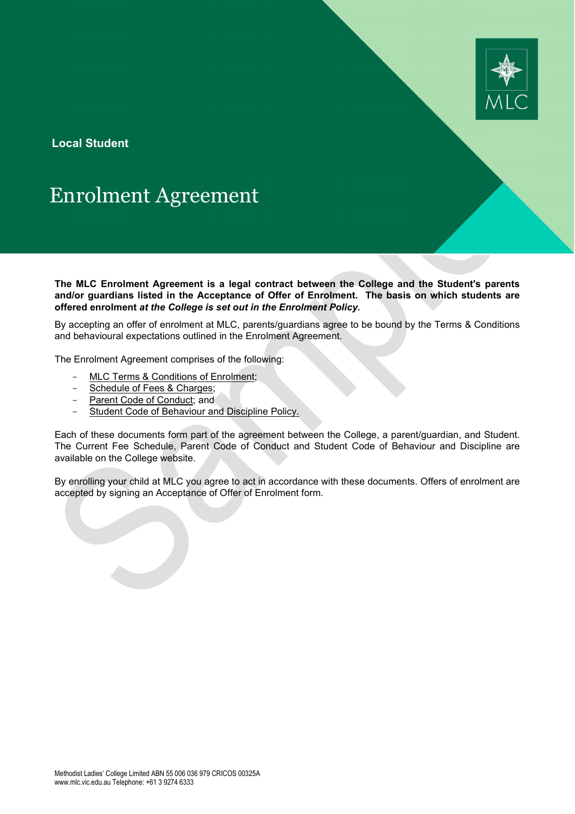

**Local Student**

# Enrolment Agreement

**The MLC Enrolment Agreement is a legal contract between the College and the Student's parents and/or guardians listed in the Acceptance of Offer of Enrolment. The basis on which students are offered enrolment** *at the College is set out in the Enrolment Policy.* 

By accepting an offer of enrolment at MLC, parents/guardians agree to be bound by the Terms & Conditions and behavioural expectations outlined in the Enrolment Agreement.

The Enrolment Agreement comprises of the following:

- [MLC Terms & Conditions of Enrolment;](#page-2-0)
- [Schedule of Fees & Charges;](#page-11-0)
- [Parent Code of Conduct;](#page-12-0) and
- Student Code of Behaviour and Discipline Policy.

Each of these documents form part of the agreement between the College, a parent/guardian, and Student. The Current Fee Schedule, Parent Code of Conduct and Student Code of Behaviour and Discipline are available on the College website.

By enrolling your child at MLC you agree to act in accordance with these documents. Offers of enrolment are accepted by signing an Acceptance of Offer of Enrolment form.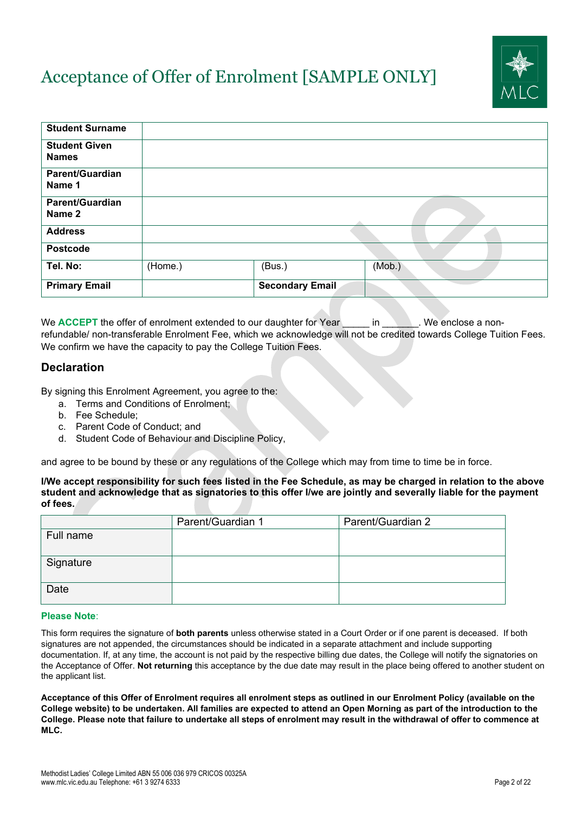# Acceptance of Offer of Enrolment [SAMPLE ONLY]



| <b>Student Surname</b>               |         |                        |        |
|--------------------------------------|---------|------------------------|--------|
| <b>Student Given</b><br><b>Names</b> |         |                        |        |
|                                      |         |                        |        |
| <b>Parent/Guardian</b><br>Name 1     |         |                        |        |
| <b>Parent/Guardian</b><br>Name 2     |         |                        |        |
| <b>Address</b>                       |         |                        |        |
| <b>Postcode</b>                      |         |                        |        |
| Tel. No:                             | (Home.) | (Bus.)                 | (Mob.) |
| <b>Primary Email</b>                 |         | <b>Secondary Email</b> |        |

We **ACCEPT** the offer of enrolment extended to our daughter for Year in We enclose a nonrefundable/ non-transferable Enrolment Fee, which we acknowledge will not be credited towards College Tuition Fees. We confirm we have the capacity to pay the College Tuition Fees.

# **Declaration**

By signing this Enrolment Agreement, you agree to the:

- a. Terms and Conditions of Enrolment;
- b. Fee Schedule;
- c. Parent Code of Conduct; and
- d. Student Code of Behaviour and Discipline Policy,

and agree to be bound by these or any regulations of the College which may from time to time be in force.

#### **I/We accept responsibility for such fees listed in the Fee Schedule, as may be charged in relation to the above student and acknowledge that as signatories to this offer I/we are jointly and severally liable for the payment of fees.**

|           | Parent/Guardian 1 | Parent/Guardian 2 |
|-----------|-------------------|-------------------|
| Full name |                   |                   |
| Signature |                   |                   |
| Date      |                   |                   |

#### **Please Note**:

This form requires the signature of **both parents** unless otherwise stated in a Court Order or if one parent is deceased. If both signatures are not appended, the circumstances should be indicated in a separate attachment and include supporting documentation. If, at any time, the account is not paid by the respective billing due dates, the College will notify the signatories on the Acceptance of Offer. **Not returning** this acceptance by the due date may result in the place being offered to another student on the applicant list.

**Acceptance of this Offer of Enrolment requires all enrolment steps as outlined in our Enrolment Policy (available on the College website) to be undertaken. All families are expected to attend an Open Morning as part of the introduction to the College. Please note that failure to undertake all steps of enrolment may result in the withdrawal of offer to commence at MLC.**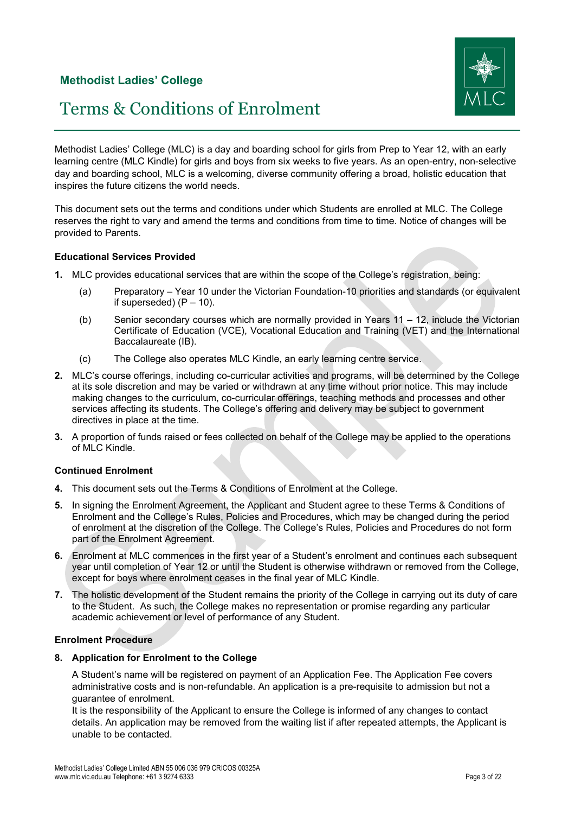

# Terms & Conditions of Enrolment

<span id="page-2-0"></span>Methodist Ladies' College (MLC) is a day and boarding school for girls from Prep to Year 12, with an early learning centre (MLC Kindle) for girls and boys from six weeks to five years. As an open-entry, non-selective day and boarding school, MLC is a welcoming, diverse community offering a broad, holistic education that inspires the future citizens the world needs.

This document sets out the terms and conditions under which Students are enrolled at MLC. The College reserves the right to vary and amend the terms and conditions from time to time. Notice of changes will be provided to Parents.

# **Educational Services Provided**

- **1.** MLC provides educational services that are within the scope of the College's registration, being:
	- (a) Preparatory Year 10 under the Victorian Foundation-10 priorities and standards (or equivalent if superseded)  $(P - 10)$ .
	- (b) Senior secondary courses which are normally provided in Years 11 12, include the Victorian Certificate of Education (VCE), Vocational Education and Training (VET) and the International Baccalaureate (IB).
	- (c) The College also operates MLC Kindle, an early learning centre service.
- **2.** MLC's course offerings, including co-curricular activities and programs, will be determined by the College at its sole discretion and may be varied or withdrawn at any time without prior notice. This may include making changes to the curriculum, co-curricular offerings, teaching methods and processes and other services affecting its students. The College's offering and delivery may be subject to government directives in place at the time.
- **3.** A proportion of funds raised or fees collected on behalf of the College may be applied to the operations of MLC Kindle.

# **Continued Enrolment**

- **4.** This document sets out the Terms & Conditions of Enrolment at the College.
- **5.** In signing the Enrolment Agreement, the Applicant and Student agree to these Terms & Conditions of Enrolment and the College's Rules, Policies and Procedures, which may be changed during the period of enrolment at the discretion of the College. The College's Rules, Policies and Procedures do not form part of the Enrolment Agreement.
- **6.** Enrolment at MLC commences in the first year of a Student's enrolment and continues each subsequent year until completion of Year 12 or until the Student is otherwise withdrawn or removed from the College, except for boys where enrolment ceases in the final year of MLC Kindle.
- **7.** The holistic development of the Student remains the priority of the College in carrying out its duty of care to the Student. As such, the College makes no representation or promise regarding any particular academic achievement or level of performance of any Student.

# **Enrolment Procedure**

# **8. Application for Enrolment to the College**

A Student's name will be registered on payment of an Application Fee. The Application Fee covers administrative costs and is non-refundable. An application is a pre-requisite to admission but not a guarantee of enrolment.

It is the responsibility of the Applicant to ensure the College is informed of any changes to contact details. An application may be removed from the waiting list if after repeated attempts, the Applicant is unable to be contacted.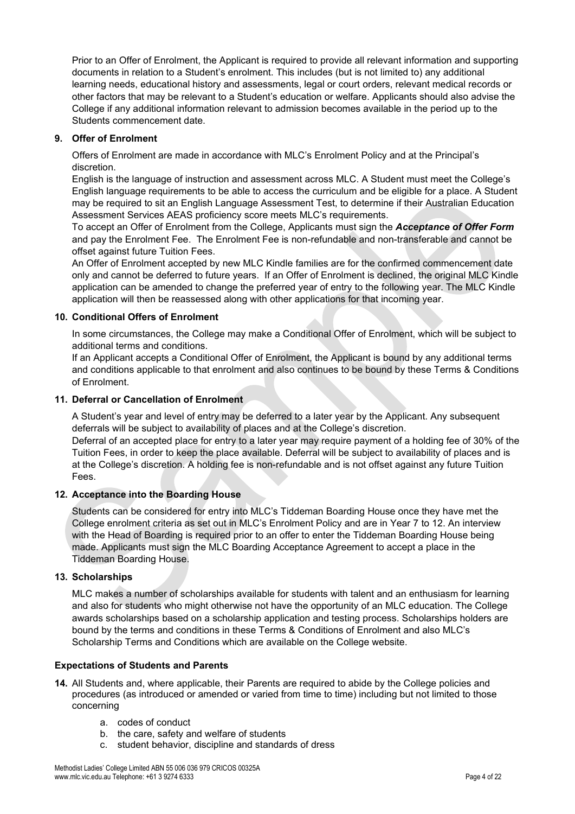Prior to an Offer of Enrolment, the Applicant is required to provide all relevant information and supporting documents in relation to a Student's enrolment. This includes (but is not limited to) any additional learning needs, educational history and assessments, legal or court orders, relevant medical records or other factors that may be relevant to a Student's education or welfare. Applicants should also advise the College if any additional information relevant to admission becomes available in the period up to the Students commencement date.

# **9. Offer of Enrolment**

Offers of Enrolment are made in accordance with MLC's Enrolment Policy and at the Principal's discretion.

English is the language of instruction and assessment across MLC. A Student must meet the College's English language requirements to be able to access the curriculum and be eligible for a place. A Student may be required to sit an English Language Assessment Test, to determine if their Australian Education Assessment Services AEAS proficiency score meets MLC's requirements.

To accept an Offer of Enrolment from the College, Applicants must sign the *Acceptance of Offer Form* and pay the Enrolment Fee. The Enrolment Fee is non-refundable and non-transferable and cannot be offset against future Tuition Fees.

An Offer of Enrolment accepted by new MLC Kindle families are for the confirmed commencement date only and cannot be deferred to future years. If an Offer of Enrolment is declined, the original MLC Kindle application can be amended to change the preferred year of entry to the following year. The MLC Kindle application will then be reassessed along with other applications for that incoming year.

# **10. Conditional Offers of Enrolment**

In some circumstances, the College may make a Conditional Offer of Enrolment, which will be subject to additional terms and conditions.

If an Applicant accepts a Conditional Offer of Enrolment, the Applicant is bound by any additional terms and conditions applicable to that enrolment and also continues to be bound by these Terms & Conditions of Enrolment.

# **11. Deferral or Cancellation of Enrolment**

A Student's year and level of entry may be deferred to a later year by the Applicant. Any subsequent deferrals will be subject to availability of places and at the College's discretion.

Deferral of an accepted place for entry to a later year may require payment of a holding fee of 30% of the Tuition Fees, in order to keep the place available. Deferral will be subject to availability of places and is at the College's discretion. A holding fee is non-refundable and is not offset against any future Tuition Fees.

# **12. Acceptance into the Boarding House**

Students can be considered for entry into MLC's Tiddeman Boarding House once they have met the College enrolment criteria as set out in MLC's Enrolment Policy and are in Year 7 to 12. An interview with the Head of Boarding is required prior to an offer to enter the Tiddeman Boarding House being made. Applicants must sign the MLC Boarding Acceptance Agreement to accept a place in the Tiddeman Boarding House.

# **13. Scholarships**

MLC makes a number of scholarships available for students with talent and an enthusiasm for learning and also for students who might otherwise not have the opportunity of an MLC education. The College awards scholarships based on a scholarship application and testing process. Scholarships holders are bound by the terms and conditions in these Terms & Conditions of Enrolment and also MLC's Scholarship Terms and Conditions which are available on the College website.

# **Expectations of Students and Parents**

- **14.** All Students and, where applicable, their Parents are required to abide by the College policies and procedures (as introduced or amended or varied from time to time) including but not limited to those concerning
	- a. codes of conduct
	- b. the care, safety and welfare of students
	- c. student behavior, discipline and standards of dress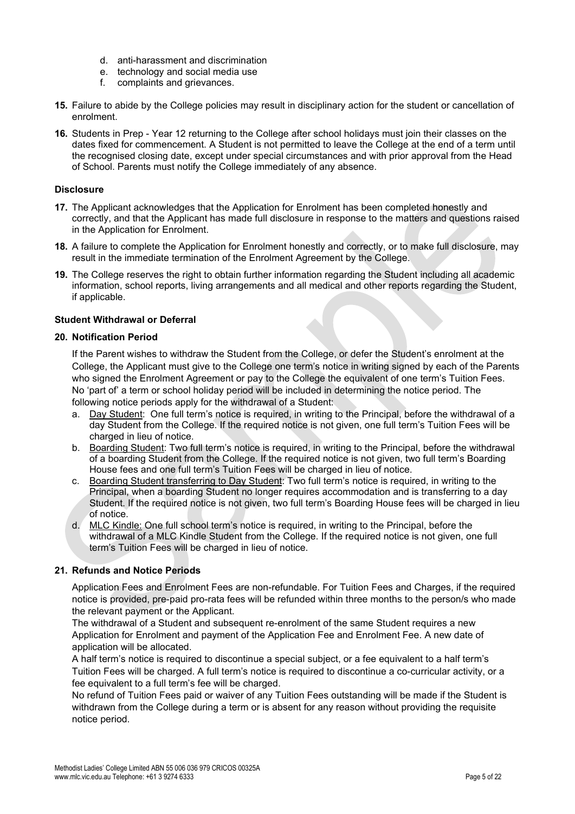- d. anti-harassment and discrimination
- e. technology and social media use
- f. complaints and grievances.
- **15.** Failure to abide by the College policies may result in disciplinary action for the student or cancellation of enrolment.
- **16.** Students in Prep Year 12 returning to the College after school holidays must join their classes on the dates fixed for commencement. A Student is not permitted to leave the College at the end of a term until the recognised closing date, except under special circumstances and with prior approval from the Head of School. Parents must notify the College immediately of any absence.

#### **Disclosure**

- **17.** The Applicant acknowledges that the Application for Enrolment has been completed honestly and correctly, and that the Applicant has made full disclosure in response to the matters and questions raised in the Application for Enrolment.
- **18.** A failure to complete the Application for Enrolment honestly and correctly, or to make full disclosure, may result in the immediate termination of the Enrolment Agreement by the College.
- **19.** The College reserves the right to obtain further information regarding the Student including all academic information, school reports, living arrangements and all medical and other reports regarding the Student, if applicable.

#### **Student Withdrawal or Deferral**

#### **20. Notification Period**

If the Parent wishes to withdraw the Student from the College, or defer the Student's enrolment at the College, the Applicant must give to the College one term's notice in writing signed by each of the Parents who signed the Enrolment Agreement or pay to the College the equivalent of one term's Tuition Fees. No 'part of' a term or school holiday period will be included in determining the notice period. The following notice periods apply for the withdrawal of a Student:

- a. Day Student: One full term's notice is required, in writing to the Principal, before the withdrawal of a day Student from the College. If the required notice is not given, one full term's Tuition Fees will be charged in lieu of notice.
- b. Boarding Student: Two full term's notice is required, in writing to the Principal, before the withdrawal of a boarding Student from the College. If the required notice is not given, two full term's Boarding House fees and one full term's Tuition Fees will be charged in lieu of notice.
- c. Boarding Student transferring to Day Student: Two full term's notice is required, in writing to the Principal, when a boarding Student no longer requires accommodation and is transferring to a day Student. If the required notice is not given, two full term's Boarding House fees will be charged in lieu of notice.
- d. MLC Kindle: One full school term's notice is required, in writing to the Principal, before the withdrawal of a MLC Kindle Student from the College. If the required notice is not given, one full term's Tuition Fees will be charged in lieu of notice.

# **21. Refunds and Notice Periods**

Application Fees and Enrolment Fees are non-refundable. For Tuition Fees and Charges, if the required notice is provided, pre-paid pro-rata fees will be refunded within three months to the person/s who made the relevant payment or the Applicant.

The withdrawal of a Student and subsequent re-enrolment of the same Student requires a new Application for Enrolment and payment of the Application Fee and Enrolment Fee. A new date of application will be allocated.

A half term's notice is required to discontinue a special subject, or a fee equivalent to a half term's Tuition Fees will be charged. A full term's notice is required to discontinue a co-curricular activity, or a fee equivalent to a full term's fee will be charged.

No refund of Tuition Fees paid or waiver of any Tuition Fees outstanding will be made if the Student is withdrawn from the College during a term or is absent for any reason without providing the requisite notice period.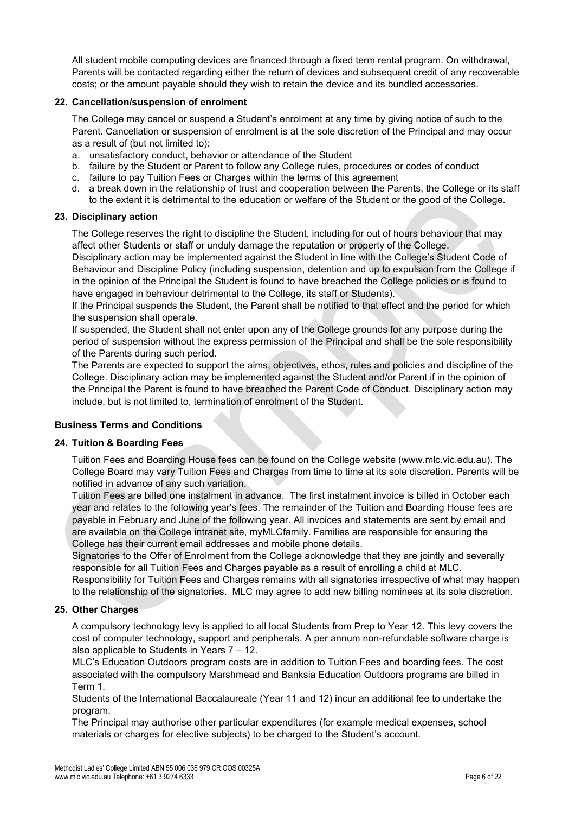All student mobile computing devices are financed through a fixed term rental program. On withdrawal, Parents will be contacted regarding either the return of devices and subsequent credit of any recoverable costs; or the amount payable should they wish to retain the device and its bundled accessories.

# **22. Cancellation/suspension of enrolment**

The College may cancel or suspend a Student's enrolment at any time by giving notice of such to the Parent. Cancellation or suspension of enrolment is at the sole discretion of the Principal and may occur as a result of (but not limited to):

- a. unsatisfactory conduct, behavior or attendance of the Student
- b. failure by the Student or Parent to follow any College rules, procedures or codes of conduct
- c. failure to pay Tuition Fees or Charges within the terms of this agreement
- d. a break down in the relationship of trust and cooperation between the Parents, the College or its staff to the extent it is detrimental to the education or welfare of the Student or the good of the College.

# **23. Disciplinary action**

The College reserves the right to discipline the Student, including for out of hours behaviour that may affect other Students or staff or unduly damage the reputation or property of the College.

Disciplinary action may be implemented against the Student in line with the College's Student Code of Behaviour and Discipline Policy (including suspension, detention and up to expulsion from the College if in the opinion of the Principal the Student is found to have breached the College policies or is found to have engaged in behaviour detrimental to the College, its staff or Students).

If the Principal suspends the Student, the Parent shall be notified to that effect and the period for which the suspension shall operate.

If suspended, the Student shall not enter upon any of the College grounds for any purpose during the period of suspension without the express permission of the Principal and shall be the sole responsibility of the Parents during such period.

The Parents are expected to support the aims, objectives, ethos, rules and policies and discipline of the College. Disciplinary action may be implemented against the Student and/or Parent if in the opinion of the Principal the Parent is found to have breached the Parent Code of Conduct. Disciplinary action may include, but is not limited to, termination of enrolment of the Student.

# **Business Terms and Conditions**

# **24. Tuition & Boarding Fees**

Tuition Fees and Boarding House fees can be found on the College website (www.mlc.vic.edu.au). The College Board may vary Tuition Fees and Charges from time to time at its sole discretion. Parents will be notified in advance of any such variation.

Tuition Fees are billed one instalment in advance. The first instalment invoice is billed in October each year and relates to the following year's fees. The remainder of the Tuition and Boarding House fees are payable in February and June of the following year. All invoices and statements are sent by email and are available on the College intranet site, myMLCfamily. Families are responsible for ensuring the College has their current email addresses and mobile phone details.

Signatories to the Offer of Enrolment from the College acknowledge that they are jointly and severally responsible for all Tuition Fees and Charges payable as a result of enrolling a child at MLC.

Responsibility for Tuition Fees and Charges remains with all signatories irrespective of what may happen to the relationship of the signatories. MLC may agree to add new billing nominees at its sole discretion.

# **25. Other Charges**

A compulsory technology levy is applied to all local Students from Prep to Year 12. This levy covers the cost of computer technology, support and peripherals. A per annum non-refundable software charge is also applicable to Students in Years 7 – 12.

MLC's Education Outdoors program costs are in addition to Tuition Fees and boarding fees. The cost associated with the compulsory Marshmead and Banksia Education Outdoors programs are billed in Term 1.

Students of the International Baccalaureate (Year 11 and 12) incur an additional fee to undertake the program.

The Principal may authorise other particular expenditures (for example medical expenses, school materials or charges for elective subjects) to be charged to the Student's account.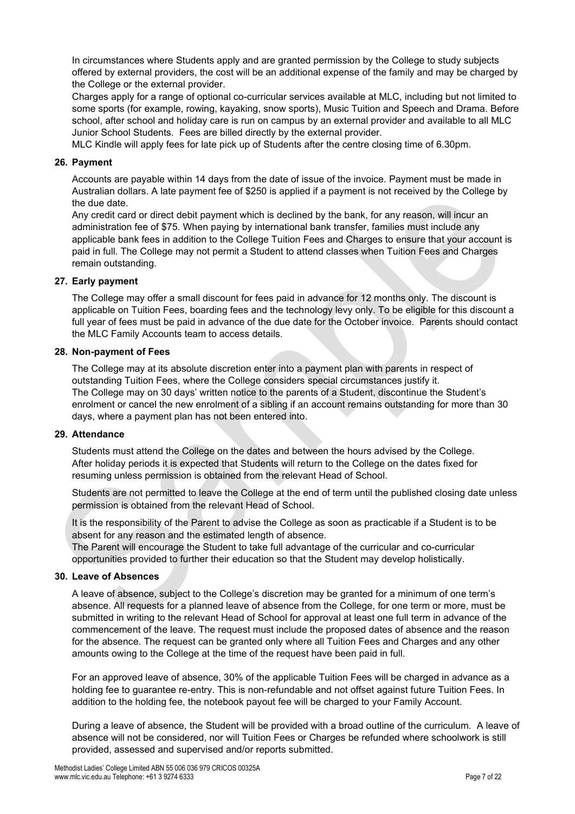In circumstances where Students apply and are granted permission by the College to study subjects offered by external providers, the cost will be an additional expense of the family and may be charged by the College or the external provider.

Charges apply for a range of optional co-curricular services available at MLC, including but not limited to some sports (for example, rowing, kayaking, snow sports), Music Tuition and Speech and Drama. Before school, after school and holiday care is run on campus by an external provider and available to all MLC Junior School Students. Fees are billed directly by the external provider.

MLC Kindle will apply fees for late pick up of Students after the centre closing time of 6.30pm.

#### **26. Payment**

Accounts are payable within 14 days from the date of issue of the invoice. Payment must be made in Australian dollars. A late payment fee of \$250 is applied if a payment is not received by the College by the due date.

Any credit card or direct debit payment which is declined by the bank, for any reason, will incur an administration fee of \$75. When paying by international bank transfer, families must include any applicable bank fees in addition to the College Tuition Fees and Charges to ensure that your account is paid in full. The College may not permit a Student to attend classes when Tuition Fees and Charges remain outstanding.

#### **27. Early payment**

The College may offer a small discount for fees paid in advance for 12 months only. The discount is applicable on Tuition Fees, boarding fees and the technology levy only. To be eligible for this discount a full year of fees must be paid in advance of the due date for the October invoice. Parents should contact the MLC Family Accounts team to access details.

#### **28. Non-payment of Fees**

The College may at its absolute discretion enter into a payment plan with parents in respect of outstanding Tuition Fees, where the College considers special circumstances justify it. The College may on 30 days' written notice to the parents of a Student, discontinue the Student's enrolment or cancel the new enrolment of a sibling if an account remains outstanding for more than 30 days, where a payment plan has not been entered into.

#### **29. Attendance**

Students must attend the College on the dates and between the hours advised by the College. After holiday periods it is expected that Students will return to the College on the dates fixed for resuming unless permission is obtained from the relevant Head of School.

Students are not permitted to leave the College at the end of term until the published closing date unless permission is obtained from the relevant Head of School.

It is the responsibility of the Parent to advise the College as soon as practicable if a Student is to be absent for any reason and the estimated length of absence.

The Parent will encourage the Student to take full advantage of the curricular and co-curricular opportunities provided to further their education so that the Student may develop holistically.

#### **30. Leave of Absences**

A leave of absence, subject to the College's discretion may be granted for a minimum of one term's absence. All requests for a planned leave of absence from the College, for one term or more, must be submitted in writing to the relevant Head of School for approval at least one full term in advance of the commencement of the leave. The request must include the proposed dates of absence and the reason for the absence. The request can be granted only where all Tuition Fees and Charges and any other amounts owing to the College at the time of the request have been paid in full.

For an approved leave of absence, 30% of the applicable Tuition Fees will be charged in advance as a holding fee to guarantee re-entry. This is non-refundable and not offset against future Tuition Fees. In addition to the holding fee, the notebook payout fee will be charged to your Family Account.

During a leave of absence, the Student will be provided with a broad outline of the curriculum. A leave of absence will not be considered, nor will Tuition Fees or Charges be refunded where schoolwork is still provided, assessed and supervised and/or reports submitted.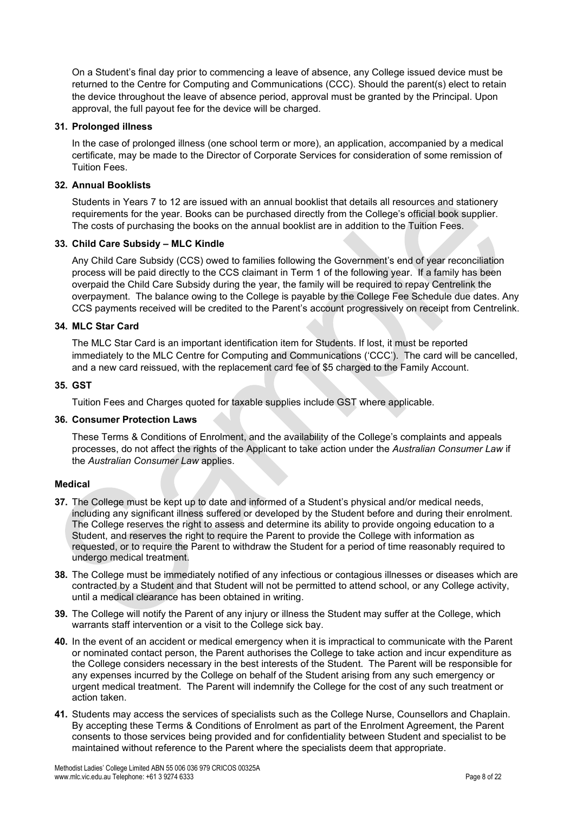On a Student's final day prior to commencing a leave of absence, any College issued device must be returned to the Centre for Computing and Communications (CCC). Should the parent(s) elect to retain the device throughout the leave of absence period, approval must be granted by the Principal. Upon approval, the full payout fee for the device will be charged.

#### **31. Prolonged illness**

In the case of prolonged illness (one school term or more), an application, accompanied by a medical certificate, may be made to the Director of Corporate Services for consideration of some remission of Tuition Fees.

# **32. Annual Booklists**

Students in Years 7 to 12 are issued with an annual booklist that details all resources and stationery requirements for the year. Books can be purchased directly from the College's official book supplier. The costs of purchasing the books on the annual booklist are in addition to the Tuition Fees.

#### **33. Child Care Subsidy – MLC Kindle**

Any Child Care Subsidy (CCS) owed to families following the Government's end of year reconciliation process will be paid directly to the CCS claimant in Term 1 of the following year. If a family has been overpaid the Child Care Subsidy during the year, the family will be required to repay Centrelink the overpayment. The balance owing to the College is payable by the College Fee Schedule due dates. Any CCS payments received will be credited to the Parent's account progressively on receipt from Centrelink.

#### **34. MLC Star Card**

The MLC Star Card is an important identification item for Students. If lost, it must be reported immediately to the MLC Centre for Computing and Communications ('CCC'). The card will be cancelled, and a new card reissued, with the replacement card fee of \$5 charged to the Family Account.

#### **35. GST**

Tuition Fees and Charges quoted for taxable supplies include GST where applicable.

#### **36. Consumer Protection Laws**

These Terms & Conditions of Enrolment, and the availability of the College's complaints and appeals processes, do not affect the rights of the Applicant to take action under the *Australian Consumer Law* if the *Australian Consumer Law* applies.

#### **Medical**

- **37.** The College must be kept up to date and informed of a Student's physical and/or medical needs, including any significant illness suffered or developed by the Student before and during their enrolment. The College reserves the right to assess and determine its ability to provide ongoing education to a Student, and reserves the right to require the Parent to provide the College with information as requested, or to require the Parent to withdraw the Student for a period of time reasonably required to undergo medical treatment.
- **38.** The College must be immediately notified of any infectious or contagious illnesses or diseases which are contracted by a Student and that Student will not be permitted to attend school, or any College activity, until a medical clearance has been obtained in writing.
- **39.** The College will notify the Parent of any injury or illness the Student may suffer at the College, which warrants staff intervention or a visit to the College sick bay.
- **40.** In the event of an accident or medical emergency when it is impractical to communicate with the Parent or nominated contact person, the Parent authorises the College to take action and incur expenditure as the College considers necessary in the best interests of the Student. The Parent will be responsible for any expenses incurred by the College on behalf of the Student arising from any such emergency or urgent medical treatment. The Parent will indemnify the College for the cost of any such treatment or action taken.
- **41.** Students may access the services of specialists such as the College Nurse, Counsellors and Chaplain. By accepting these Terms & Conditions of Enrolment as part of the Enrolment Agreement, the Parent consents to those services being provided and for confidentiality between Student and specialist to be maintained without reference to the Parent where the specialists deem that appropriate.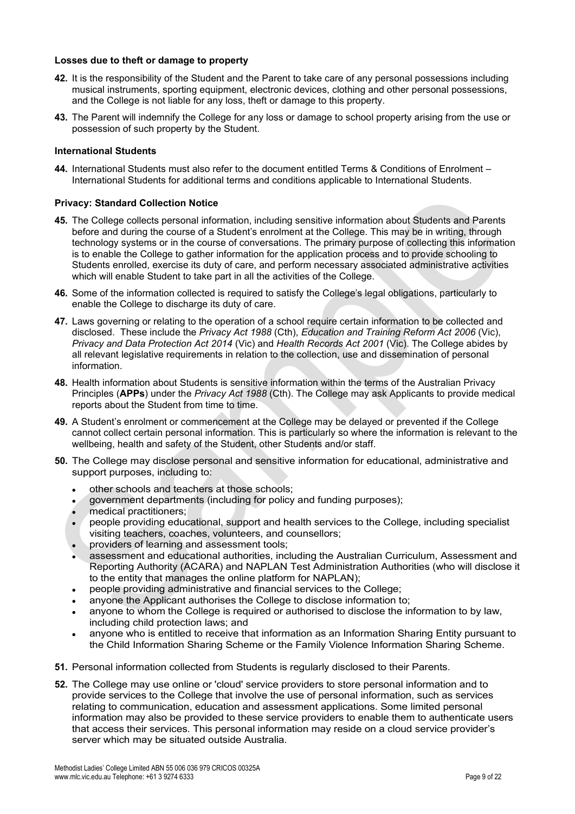#### **Losses due to theft or damage to property**

- **42.** It is the responsibility of the Student and the Parent to take care of any personal possessions including musical instruments, sporting equipment, electronic devices, clothing and other personal possessions, and the College is not liable for any loss, theft or damage to this property.
- **43.** The Parent will indemnify the College for any loss or damage to school property arising from the use or possession of such property by the Student.

#### **International Students**

**44.** International Students must also refer to the document entitled Terms & Conditions of Enrolment – International Students for additional terms and conditions applicable to International Students.

#### **Privacy: Standard Collection Notice**

- **45.** The College collects personal information, including sensitive information about Students and Parents before and during the course of a Student's enrolment at the College. This may be in writing, through technology systems or in the course of conversations. The primary purpose of collecting this information is to enable the College to gather information for the application process and to provide schooling to Students enrolled, exercise its duty of care, and perform necessary associated administrative activities which will enable Student to take part in all the activities of the College.
- **46.** Some of the information collected is required to satisfy the College's legal obligations, particularly to enable the College to discharge its duty of care.
- **47.** Laws governing or relating to the operation of a school require certain information to be collected and disclosed. These include the *Privacy Act 1988* (Cth), *Education and Training Reform Act 2006* (Vic), *Privacy and Data Protection Act 2014* (Vic) and *Health Records Act 2001* (Vic). The College abides by all relevant legislative requirements in relation to the collection, use and dissemination of personal information.
- **48.** Health information about Students is sensitive information within the terms of the Australian Privacy Principles (**APPs**) under the *Privacy Act 1988* (Cth). The College may ask Applicants to provide medical reports about the Student from time to time.
- **49.** A Student's enrolment or commencement at the College may be delayed or prevented if the College cannot collect certain personal information. This is particularly so where the information is relevant to the wellbeing, health and safety of the Student, other Students and/or staff.
- **50.** The College may disclose personal and sensitive information for educational, administrative and support purposes, including to:
	- other schools and teachers at those schools;
	- government departments (including for policy and funding purposes);
	- medical practitioners;
	- people providing educational, support and health services to the College, including specialist visiting teachers, coaches, volunteers, and counsellors;
	- providers of learning and assessment tools;
	- assessment and educational authorities, including the Australian Curriculum, Assessment and Reporting Authority (ACARA) and NAPLAN Test Administration Authorities (who will disclose it to the entity that manages the online platform for NAPLAN);
	- people providing administrative and financial services to the College;
	- anyone the Applicant authorises the College to disclose information to;
	- anyone to whom the College is required or authorised to disclose the information to by law, including child protection laws; and
	- anyone who is entitled to receive that information as an Information Sharing Entity pursuant to the Child Information Sharing Scheme or the Family Violence Information Sharing Scheme.
- **51.** Personal information collected from Students is regularly disclosed to their Parents.
- **52.** The College may use online or 'cloud' service providers to store personal information and to provide services to the College that involve the use of personal information, such as services relating to communication, education and assessment applications. Some limited personal information may also be provided to these service providers to enable them to authenticate users that access their services. This personal information may reside on a cloud service provider's server which may be situated outside Australia.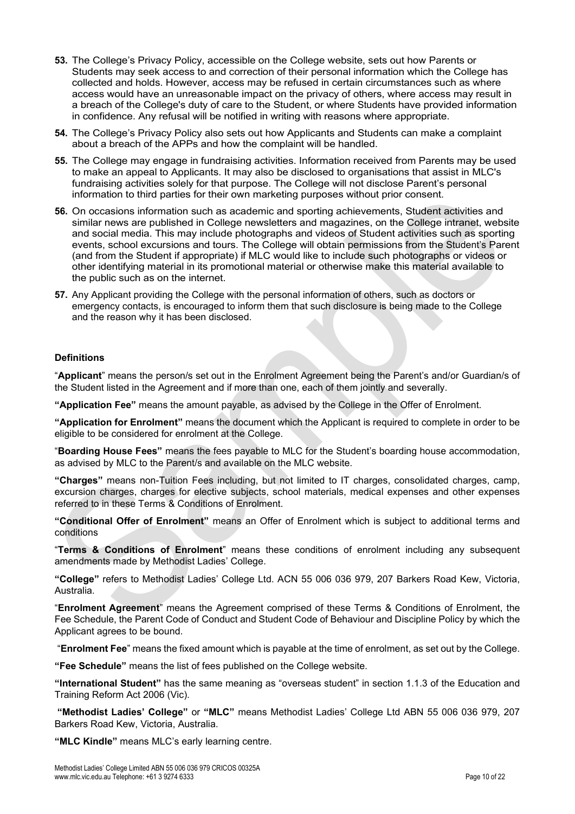- **53.** The College's Privacy Policy, accessible on the College website, sets out how Parents or Students may seek access to and correction of their personal information which the College has collected and holds. However, access may be refused in certain circumstances such as where access would have an unreasonable impact on the privacy of others, where access may result in a breach of the College's duty of care to the Student, or where Students have provided information in confidence. Any refusal will be notified in writing with reasons where appropriate.
- **54.** The College's Privacy Policy also sets out how Applicants and Students can make a complaint about a breach of the APPs and how the complaint will be handled.
- **55.** The College may engage in fundraising activities. Information received from Parents may be used to make an appeal to Applicants. It may also be disclosed to organisations that assist in MLC's fundraising activities solely for that purpose. The College will not disclose Parent's personal information to third parties for their own marketing purposes without prior consent.
- **56.** On occasions information such as academic and sporting achievements, Student activities and similar news are published in College newsletters and magazines, on the College intranet, website and social media. This may include photographs and videos of Student activities such as sporting events, school excursions and tours. The College will obtain permissions from the Student's Parent (and from the Student if appropriate) if MLC would like to include such photographs or videos or other identifying material in its promotional material or otherwise make this material available to the public such as on the internet.
- **57.** Any Applicant providing the College with the personal information of others, such as doctors or emergency contacts, is encouraged to inform them that such disclosure is being made to the College and the reason why it has been disclosed.

#### **Definitions**

"**Applicant**" means the person/s set out in the Enrolment Agreement being the Parent's and/or Guardian/s of the Student listed in the Agreement and if more than one, each of them jointly and severally.

**"Application Fee"** means the amount payable, as advised by the College in the Offer of Enrolment.

**"Application for Enrolment"** means the document which the Applicant is required to complete in order to be eligible to be considered for enrolment at the College.

"**Boarding House Fees"** means the fees payable to MLC for the Student's boarding house accommodation, as advised by MLC to the Parent/s and available on the MLC website.

**"Charges"** means non-Tuition Fees including, but not limited to IT charges, consolidated charges, camp, excursion charges, charges for elective subjects, school materials, medical expenses and other expenses referred to in these Terms & Conditions of Enrolment.

**"Conditional Offer of Enrolment"** means an Offer of Enrolment which is subject to additional terms and conditions

"**Terms & Conditions of Enrolment**" means these conditions of enrolment including any subsequent amendments made by Methodist Ladies' College.

**"College"** refers to Methodist Ladies' College Ltd. ACN 55 006 036 979, 207 Barkers Road Kew, Victoria, Australia.

"**Enrolment Agreement**" means the Agreement comprised of these Terms & Conditions of Enrolment, the Fee Schedule, the Parent Code of Conduct and Student Code of Behaviour and Discipline Policy by which the Applicant agrees to be bound.

"**Enrolment Fee**" means the fixed amount which is payable at the time of enrolment, as set out by the College.

**"Fee Schedule"** means the list of fees published on the College website.

**"International Student"** has the same meaning as "overseas student" in section 1.1.3 of the Education and Training Reform Act 2006 (Vic).

**"Methodist Ladies' College"** or **"MLC"** means Methodist Ladies' College Ltd ABN 55 006 036 979, 207 Barkers Road Kew, Victoria, Australia.

**"MLC Kindle"** means MLC's early learning centre.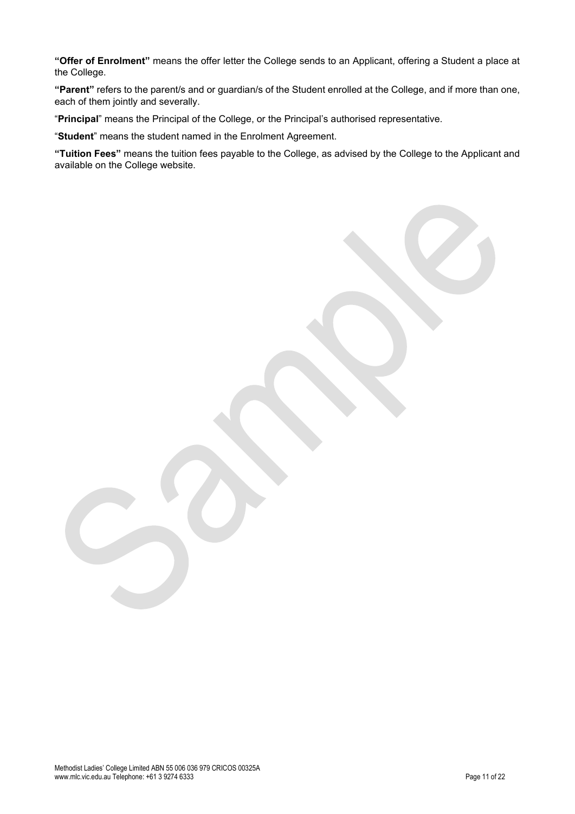**"Offer of Enrolment"** means the offer letter the College sends to an Applicant, offering a Student a place at the College.

**"Parent"** refers to the parent/s and or guardian/s of the Student enrolled at the College, and if more than one, each of them jointly and severally.

"**Principal**" means the Principal of the College, or the Principal's authorised representative.

"**Student**" means the student named in the Enrolment Agreement.

**"Tuition Fees"** means the tuition fees payable to the College, as advised by the College to the Applicant and available on the College website.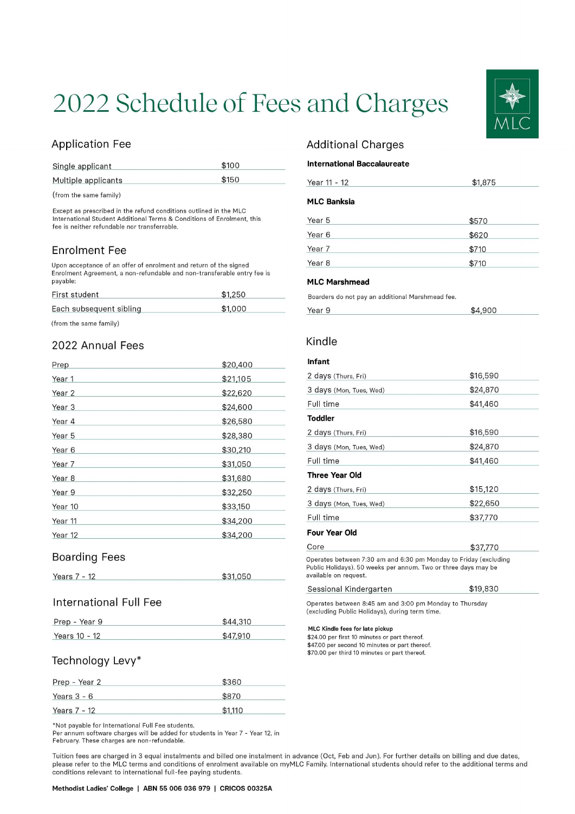# 2022 Schedule of Fees and Charges

# **Application Fee**

| Single applicant    | \$100 |
|---------------------|-------|
| Multiple applicants | \$150 |

(from the same family)

Except as prescribed in the refund conditions outlined in the MLC International Student Additional Terms & Conditions of Enrolment, this fee is neither refundable nor transferrable.

# **Enrolment Fee**

Upon acceptance of an offer of enrolment and return of the signed Enrolment Agreement, a non-refundable and non-transferable entry fee is payable:

| First student           | \$1.250 |  |
|-------------------------|---------|--|
| Each subsequent sibling | \$1,000 |  |

(from the same family)

# 2022 Annual Fees

| Prep    | \$20,400 |
|---------|----------|
| Year 1  | \$21,105 |
| Year 2  | \$22,620 |
| Year 3  | \$24,600 |
| Year 4  | \$26,580 |
| Year 5  | \$28,380 |
| Year 6  | \$30,210 |
| Year 7  | \$31,050 |
| Year 8  | \$31,680 |
| Year 9  | \$32,250 |
| Year 10 | \$33,150 |
| Year 11 | \$34,200 |
| Year 12 | \$34,200 |

# **Boarding Fees**

| Years 7 - 12 | \$31,050 |
|--------------|----------|
|              |          |

# **International Full Fee**

| Prep - Year 9 | \$44,310 |
|---------------|----------|
| Years 10 - 12 | \$47,910 |

# Technology Levy\*

| Prep - Year 2 | \$360   |
|---------------|---------|
| Years $3 - 6$ | \$870   |
| Years 7 - 12  | \$1,110 |

\*Not payable for International Full Fee students.

Per annum software charges will be added for students in Year 7 - Year 12, in February. These charges are non-refundable.

# **Additional Charges**

#### **International Baccalaureate**

| Year 11 - 12       | \$1,875 |  |
|--------------------|---------|--|
| <b>MLC Banksia</b> |         |  |
| Year 5             | \$570   |  |
| Year 6             | \$620   |  |
| Year 7             | \$710   |  |
| Year <sub>8</sub>  | \$710   |  |

#### **MLC Marshmead**

Boarders do not pay an additional Marshmead fee.

| Year 9 | \$4,900 |
|--------|---------|
|        |         |

# Kindle

#### Infant

| 2 days (Thurs, Fri)                                               | \$16,590 |
|-------------------------------------------------------------------|----------|
| 3 days (Mon, Tues, Wed)                                           | \$24,870 |
| Full time                                                         | \$41,460 |
| Toddler                                                           |          |
| 2 days (Thurs, Fri)                                               | \$16,590 |
| 3 days (Mon, Tues, Wed)                                           | \$24,870 |
| Full time                                                         | \$41,460 |
| <b>Three Year Old</b>                                             |          |
| 2 days (Thurs, Fri)                                               | \$15,120 |
| 3 days (Mon, Tues, Wed)                                           | \$22,650 |
| Full time                                                         | \$37,770 |
| <b>Four Year Old</b>                                              |          |
| Core                                                              | \$37,770 |
| Operates between 7:20 am and 6:20 nm Mendeu to Friday (evaluation |          |

etween 7:30 am and 6:30 pm Monday to Friday (excluding Public Holidays). 50 weeks per annum. Two or three days may be available on request.

| Sessional Kindergarten | \$19,830 |  |
|------------------------|----------|--|
|                        |          |  |

Operates between 8:45 am and 3:00 pm Monday to Thursday (excluding Public Holidays), during term time.

#### MLC Kindle fees for late pickup

\$24.00 per first 10 minutes or part thereof. \$47.00 per second 10 minutes or part thereof. \$70.00 per third 10 minutes or part thereof.

Tuition fees are charged in 3 equal instalments and billed one instalment in advance (Oct, Feb and Jun). For further details on billing and due dates, please refer to the MLC terms and conditions of enrolment available on myMLC Family. International students should refer to the additional terms and conditions relevant to international full-fee paying students.

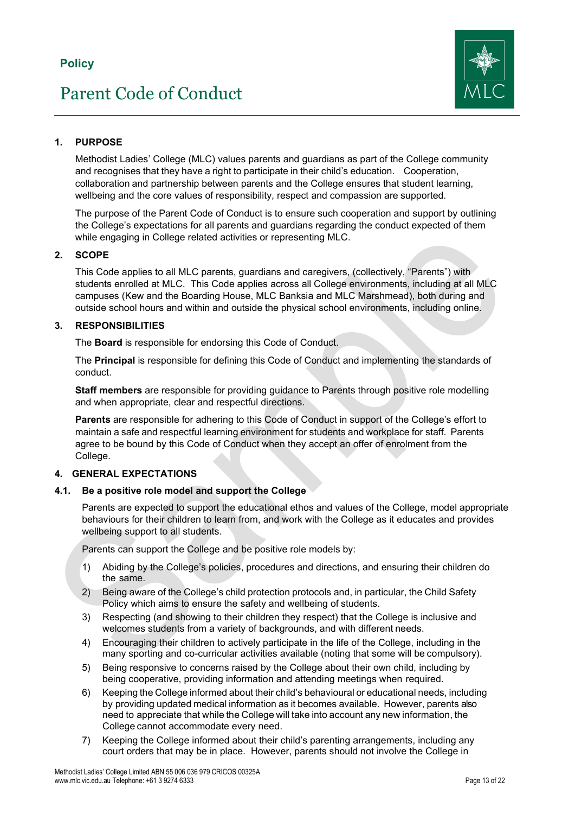# Parent Code of Conduct



# <span id="page-12-0"></span>**1. PURPOSE**

Methodist Ladies' College (MLC) values parents and guardians as part of the College community and recognises that they have a right to participate in their child's education. Cooperation, collaboration and partnership between parents and the College ensures that student learning, wellbeing and the core values of responsibility, respect and compassion are supported.

The purpose of the Parent Code of Conduct is to ensure such cooperation and support by outlining the College's expectations for all parents and guardians regarding the conduct expected of them while engaging in College related activities or representing MLC.

# **2. SCOPE**

This Code applies to all MLC parents, guardians and caregivers, (collectively, "Parents") with students enrolled at MLC. This Code applies across all College environments, including at all MLC campuses (Kew and the Boarding House, MLC Banksia and MLC Marshmead), both during and outside school hours and within and outside the physical school environments, including online.

# **3. RESPONSIBILITIES**

The **Board** is responsible for endorsing this Code of Conduct.

The **Principal** is responsible for defining this Code of Conduct and implementing the standards of conduct.

**Staff members** are responsible for providing guidance to Parents through positive role modelling and when appropriate, clear and respectful directions.

**Parents** are responsible for adhering to this Code of Conduct in support of the College's effort to maintain a safe and respectful learning environment for students and workplace for staff. Parents agree to be bound by this Code of Conduct when they accept an offer of enrolment from the College.

# **4. GENERAL EXPECTATIONS**

**4.1. Be a positive role model and support the College**

Parents are expected to support the educational ethos and values of the College, model appropriate behaviours for their children to learn from, and work with the College as it educates and provides wellbeing support to all students.

Parents can support the College and be positive role models by:

- 1) Abiding by the College's policies, procedures and directions, and ensuring their children do the same.
- 2) Being aware of the College's child protection protocols and, in particular, the Child Safety Policy which aims to ensure the safety and wellbeing of students.
- 3) Respecting (and showing to their children they respect) that the College is inclusive and welcomes students from a variety of backgrounds, and with different needs.
- 4) Encouraging their children to actively participate in the life of the College, including in the many sporting and co-curricular activities available (noting that some will be compulsory).
- 5) Being responsive to concerns raised by the College about their own child, including by being cooperative, providing information and attending meetings when required.
- 6) Keeping the College informed about their child's behavioural or educational needs, including by providing updated medical information as it becomes available. However, parents also need to appreciate that while the College will take into account any new information, the College cannot accommodate every need.
- 7) Keeping the College informed about their child's parenting arrangements, including any court orders that may be in place. However, parents should not involve the College in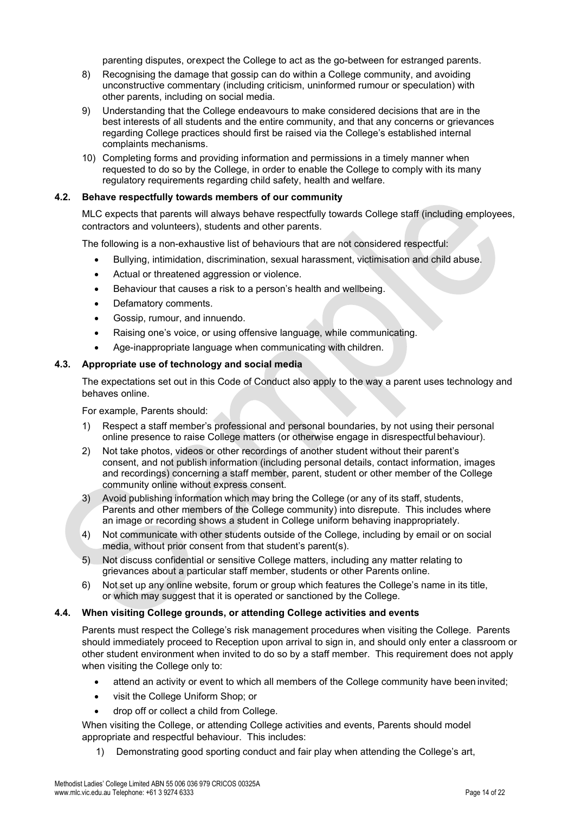parenting disputes, orexpect the College to act as the go-between for estranged parents.

- 8) Recognising the damage that gossip can do within a College community, and avoiding unconstructive commentary (including criticism, uninformed rumour or speculation) with other parents, including on social media.
- 9) Understanding that the College endeavours to make considered decisions that are in the best interests of all students and the entire community, and that any concerns or grievances regarding College practices should first be raised via the College's established internal complaints mechanisms.
- 10) Completing forms and providing information and permissions in a timely manner when requested to do so by the College, in order to enable the College to comply with its many regulatory requirements regarding child safety, health and welfare.

#### **4.2. Behave respectfully towards members of our community**

MLC expects that parents will always behave respectfully towards College staff (including employees, contractors and volunteers), students and other parents.

The following is a non-exhaustive list of behaviours that are not considered respectful:

- Bullying, intimidation, discrimination, sexual harassment, victimisation and child abuse.
- Actual or threatened aggression or violence.
- Behaviour that causes a risk to a person's health and wellbeing.
- Defamatory comments.
- Gossip, rumour, and innuendo.
- Raising one's voice, or using offensive language, while communicating.
- Age-inappropriate language when communicating with children.

#### **4.3. Appropriate use of technology and social media**

The expectations set out in this Code of Conduct also apply to the way a parent uses technology and behaves online.

For example, Parents should:

- 1) Respect a staff member's professional and personal boundaries, by not using their personal online presence to raise College matters (or otherwise engage in disrespectful behaviour).
- 2) Not take photos, videos or other recordings of another student without their parent's consent, and not publish information (including personal details, contact information, images and recordings) concerning a staff member, parent, student or other member of the College community online without express consent.
- 3) Avoid publishing information which may bring the College (or any of its staff, students, Parents and other members of the College community) into disrepute. This includes where an image or recording shows a student in College uniform behaving inappropriately.
- 4) Not communicate with other students outside of the College, including by email or on social media, without prior consent from that student's parent(s).
- 5) Not discuss confidential or sensitive College matters, including any matter relating to grievances about a particular staff member, students or other Parents online.
- 6) Not set up any online website, forum or group which features the College's name in its title, or which may suggest that it is operated or sanctioned by the College.

#### **4.4. When visiting College grounds, or attending College activities and events**

Parents must respect the College's risk management procedures when visiting the College. Parents should immediately proceed to Reception upon arrival to sign in, and should only enter a classroom or other student environment when invited to do so by a staff member. This requirement does not apply when visiting the College only to:

- attend an activity or event to which all members of the College community have been invited;
- visit the College Uniform Shop; or
- drop off or collect a child from College.
- When visiting the College, or attending College activities and events, Parents should model appropriate and respectful behaviour. This includes:
	- 1) Demonstrating good sporting conduct and fair play when attending the College's art,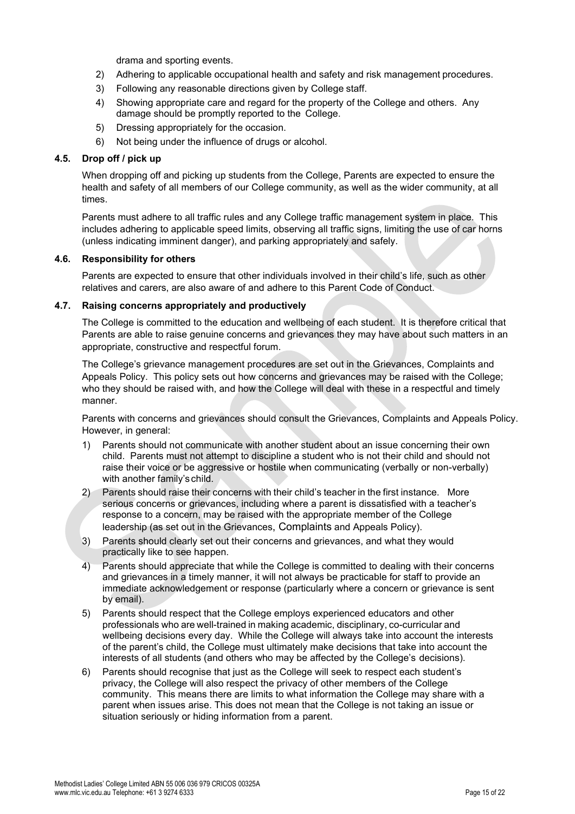drama and sporting events.

- 2) Adhering to applicable occupational health and safety and risk management procedures.
- 3) Following any reasonable directions given by College staff.
- 4) Showing appropriate care and regard for the property of the College and others. Any damage should be promptly reported to the College.
- 5) Dressing appropriately for the occasion.
- 6) Not being under the influence of drugs or alcohol.

#### **4.5. Drop off / pick up**

When dropping off and picking up students from the College, Parents are expected to ensure the health and safety of all members of our College community, as well as the wider community, at all times.

Parents must adhere to all traffic rules and any College traffic management system in place. This includes adhering to applicable speed limits, observing all traffic signs, limiting the use of car horns (unless indicating imminent danger), and parking appropriately and safely.

# **4.6. Responsibility for others**

Parents are expected to ensure that other individuals involved in their child's life, such as other relatives and carers, are also aware of and adhere to this Parent Code of Conduct.

#### **4.7. Raising concerns appropriately and productively**

The College is committed to the education and wellbeing of each student. It is therefore critical that Parents are able to raise genuine concerns and grievances they may have about such matters in an appropriate, constructive and respectful forum.

The College's grievance management procedures are set out in the Grievances, Complaints and Appeals Policy. This policy sets out how concerns and grievances may be raised with the College; who they should be raised with, and how the College will deal with these in a respectful and timely manner.

Parents with concerns and grievances should consult the Grievances, Complaints and Appeals Policy. However, in general:

- 1) Parents should not communicate with another student about an issue concerning their own child. Parents must not attempt to discipline a student who is not their child and should not raise their voice or be aggressive or hostile when communicating (verbally or non-verbally) with another family's child.
- 2) Parents should raise their concerns with their child's teacher in the first instance. More serious concerns or grievances, including where a parent is dissatisfied with a teacher's response to a concern, may be raised with the appropriate member of the College leadership (as set out in the Grievances, Complaints and Appeals Policy).
- 3) Parents should clearly set out their concerns and grievances, and what they would practically like to see happen.
- 4) Parents should appreciate that while the College is committed to dealing with their concerns and grievances in a timely manner, it will not always be practicable for staff to provide an immediate acknowledgement or response (particularly where a concern or grievance is sent by email).
- 5) Parents should respect that the College employs experienced educators and other professionals who are well-trained in making academic, disciplinary, co-curricular and wellbeing decisions every day. While the College will always take into account the interests of the parent's child, the College must ultimately make decisions that take into account the interests of all students (and others who may be affected by the College's decisions).
- 6) Parents should recognise that just as the College will seek to respect each student's privacy, the College will also respect the privacy of other members of the College community. This means there are limits to what information the College may share with a parent when issues arise. This does not mean that the College is not taking an issue or situation seriously or hiding information from a parent.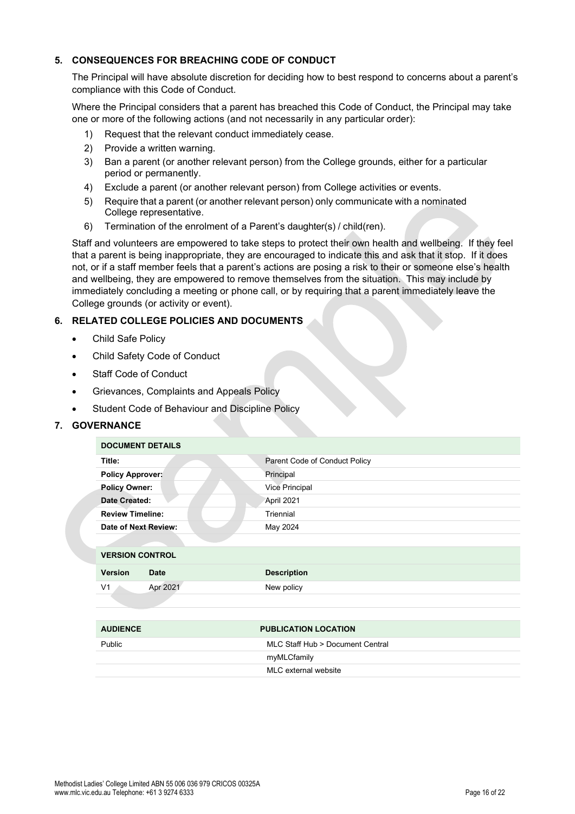# **5. CONSEQUENCES FOR BREACHING CODE OF CONDUCT**

The Principal will have absolute discretion for deciding how to best respond to concerns about a parent's compliance with this Code of Conduct.

Where the Principal considers that a parent has breached this Code of Conduct, the Principal may take one or more of the following actions (and not necessarily in any particular order):

- 1) Request that the relevant conduct immediately cease.
- 2) Provide a written warning.
- 3) Ban a parent (or another relevant person) from the College grounds, either for a particular period or permanently.
- 4) Exclude a parent (or another relevant person) from College activities or events.
- 5) Require that a parent (or another relevant person) only communicate with a nominated College representative.
- 6) Termination of the enrolment of a Parent's daughter(s) / child(ren).

Staff and volunteers are empowered to take steps to protect their own health and wellbeing. If they feel that a parent is being inappropriate, they are encouraged to indicate this and ask that it stop. If it does not, or if a staff member feels that a parent's actions are posing a risk to their or someone else's health and wellbeing, they are empowered to remove themselves from the situation. This may include by immediately concluding a meeting or phone call, or by requiring that a parent immediately leave the College grounds (or activity or event).

# **6. RELATED COLLEGE POLICIES AND DOCUMENTS**

- Child Safe Policy
- Child Safety Code of Conduct
- Staff Code of Conduct
- Grievances, Complaints and Appeals Policy
- Student Code of Behaviour and Discipline Policy

# **7. GOVERNANCE**

| <b>DOCUMENT DETAILS</b>       |                               |  |
|-------------------------------|-------------------------------|--|
| Title:                        | Parent Code of Conduct Policy |  |
| <b>Policy Approver:</b>       | Principal                     |  |
| <b>Policy Owner:</b>          | <b>Vice Principal</b>         |  |
| Date Created:                 | April 2021                    |  |
| <b>Review Timeline:</b>       | Triennial                     |  |
| Date of Next Review:          | May 2024                      |  |
|                               |                               |  |
| <b>VERSION CONTROL</b>        |                               |  |
| <b>Version</b><br><b>Date</b> | <b>Description</b>            |  |
| Apr 2021<br>V <sub>1</sub>    | New policy                    |  |

| <b>AUDIENCE</b> | <b>PUBLICATION LOCATION</b>      |  |
|-----------------|----------------------------------|--|
| <b>Public</b>   | MLC Staff Hub > Document Central |  |
|                 | myMLCfamily                      |  |
|                 | MLC external website             |  |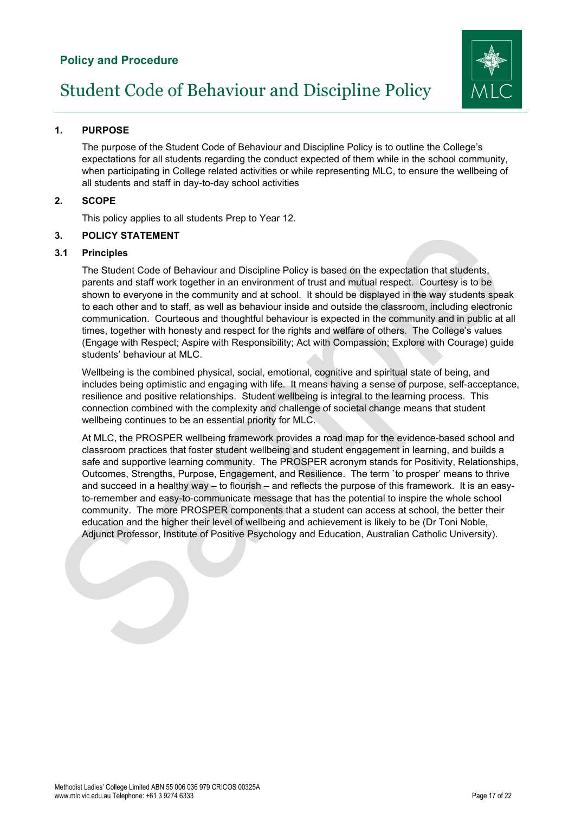# **Policy and Procedure**



# <span id="page-16-0"></span>**1. PURPOSE**

The purpose of the Student Code of Behaviour and Discipline Policy is to outline the College's expectations for all students regarding the conduct expected of them while in the school community, when participating in College related activities or while representing MLC, to ensure the wellbeing of all students and staff in day-to-day school activities

# **2. SCOPE**

This policy applies to all students Prep to Year 12.

#### **3. POLICY STATEMENT**

#### **3.1 Principles**

The Student Code of Behaviour and Discipline Policy is based on the expectation that students, parents and staff work together in an environment of trust and mutual respect. Courtesy is to be shown to everyone in the community and at school. It should be displayed in the way students speak to each other and to staff, as well as behaviour inside and outside the classroom, including electronic communication. Courteous and thoughtful behaviour is expected in the community and in public at all times, together with honesty and respect for the rights and welfare of others. The College's values (Engage with Respect; Aspire with Responsibility; Act with Compassion; Explore with Courage) guide students' behaviour at MLC.

Wellbeing is the combined physical, social, emotional, cognitive and spiritual state of being, and includes being optimistic and engaging with life. It means having a sense of purpose, self-acceptance, resilience and positive relationships. Student wellbeing is integral to the learning process. This connection combined with the complexity and challenge of societal change means that student wellbeing continues to be an essential priority for MLC.

At MLC, the PROSPER wellbeing framework provides a road map for the evidence-based school and classroom practices that foster student wellbeing and student engagement in learning, and builds a safe and supportive learning community. The PROSPER acronym stands for Positivity, Relationships, Outcomes, Strengths, Purpose, Engagement, and Resilience. The term `to prosper' means to thrive and succeed in a healthy way – to flourish – and reflects the purpose of this framework. It is an easyto-remember and easy-to-communicate message that has the potential to inspire the whole school community. The more PROSPER components that a student can access at school, the better their education and the higher their level of wellbeing and achievement is likely to be (Dr Toni Noble, Adjunct Professor, Institute of Positive Psychology and Education, Australian Catholic University).

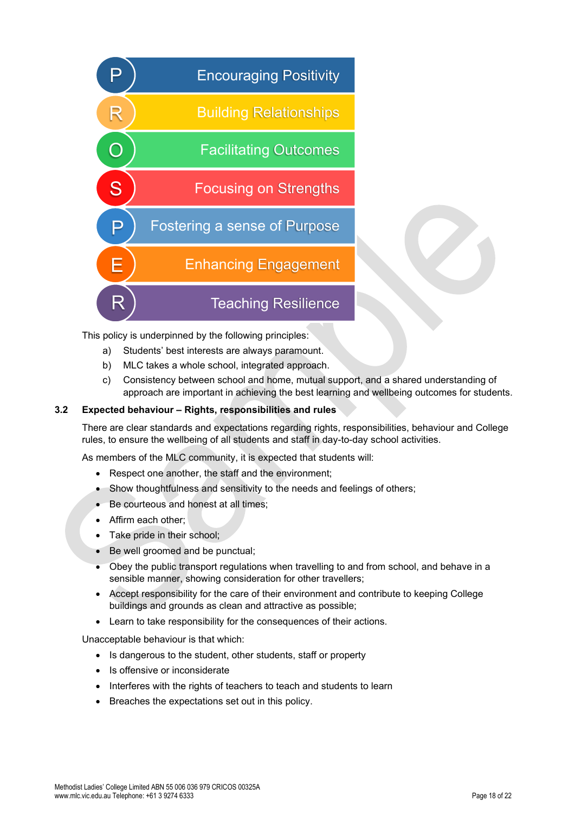

This policy is underpinned by the following principles:

- a) Students' best interests are always paramount.
- b) MLC takes a whole school, integrated approach.
- c) Consistency between school and home, mutual support, and a shared understanding of approach are important in achieving the best learning and wellbeing outcomes for students.

#### **3.2 Expected behaviour – Rights, responsibilities and rules**

There are clear standards and expectations regarding rights, responsibilities, behaviour and College rules, to ensure the wellbeing of all students and staff in day-to-day school activities.

As members of the MLC community, it is expected that students will:

- Respect one another, the staff and the environment;
- Show thoughtfulness and sensitivity to the needs and feelings of others;
- Be courteous and honest at all times;
- Affirm each other;
- Take pride in their school:
- Be well groomed and be punctual;
- Obey the public transport regulations when travelling to and from school, and behave in a sensible manner, showing consideration for other travellers;
- Accept responsibility for the care of their environment and contribute to keeping College buildings and grounds as clean and attractive as possible;
- Learn to take responsibility for the consequences of their actions.

Unacceptable behaviour is that which:

- Is dangerous to the student, other students, staff or property
- Is offensive or inconsiderate
- Interferes with the rights of teachers to teach and students to learn
- Breaches the expectations set out in this policy.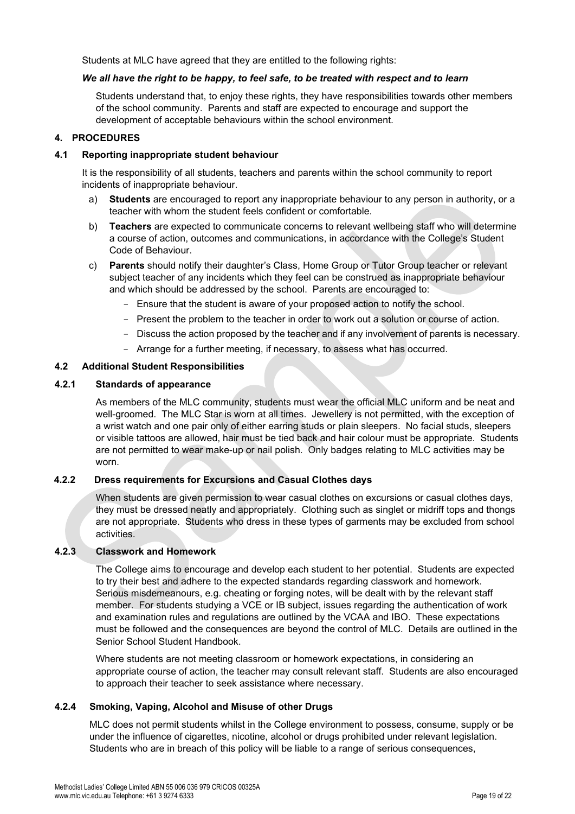Students at MLC have agreed that they are entitled to the following rights:

#### *We all have the right to be happy, to feel safe, to be treated with respect and to learn*

Students understand that, to enjoy these rights, they have responsibilities towards other members of the school community. Parents and staff are expected to encourage and support the development of acceptable behaviours within the school environment.

# **4. PROCEDURES**

#### **4.1 Reporting inappropriate student behaviour**

It is the responsibility of all students, teachers and parents within the school community to report incidents of inappropriate behaviour.

- a) **Students** are encouraged to report any inappropriate behaviour to any person in authority, or a teacher with whom the student feels confident or comfortable.
- b) **Teachers** are expected to communicate concerns to relevant wellbeing staff who will determine a course of action, outcomes and communications, in accordance with the College's Student Code of Behaviour.
- c) **Parents** should notify their daughter's Class, Home Group or Tutor Group teacher or relevant subject teacher of any incidents which they feel can be construed as inappropriate behaviour and which should be addressed by the school. Parents are encouraged to:
	- Ensure that the student is aware of your proposed action to notify the school.
	- Present the problem to the teacher in order to work out a solution or course of action.
	- Discuss the action proposed by the teacher and if any involvement of parents is necessary.
	- Arrange for a further meeting, if necessary, to assess what has occurred.

#### **4.2 Additional Student Responsibilities**

#### **4.2.1 Standards of appearance**

As members of the MLC community, students must wear the official MLC uniform and be neat and well-groomed. The MLC Star is worn at all times. Jewellery is not permitted, with the exception of a wrist watch and one pair only of either earring studs or plain sleepers. No facial studs, sleepers or visible tattoos are allowed, hair must be tied back and hair colour must be appropriate. Students are not permitted to wear make-up or nail polish. Only badges relating to MLC activities may be worn.

# **4.2.2 Dress requirements for Excursions and Casual Clothes days**

When students are given permission to wear casual clothes on excursions or casual clothes days, they must be dressed neatly and appropriately. Clothing such as singlet or midriff tops and thongs are not appropriate. Students who dress in these types of garments may be excluded from school activities.

#### **4.2.3 Classwork and Homework**

The College aims to encourage and develop each student to her potential. Students are expected to try their best and adhere to the expected standards regarding classwork and homework. Serious misdemeanours, e.g. cheating or forging notes, will be dealt with by the relevant staff member. For students studying a VCE or IB subject, issues regarding the authentication of work and examination rules and regulations are outlined by the VCAA and IBO. These expectations must be followed and the consequences are beyond the control of MLC. Details are outlined in the Senior School Student Handbook.

Where students are not meeting classroom or homework expectations, in considering an appropriate course of action, the teacher may consult relevant staff. Students are also encouraged to approach their teacher to seek assistance where necessary.

# **4.2.4 Smoking, Vaping, Alcohol and Misuse of other Drugs**

MLC does not permit students whilst in the College environment to possess, consume, supply or be under the influence of cigarettes, nicotine, alcohol or drugs prohibited under relevant legislation. Students who are in breach of this policy will be liable to a range of serious consequences,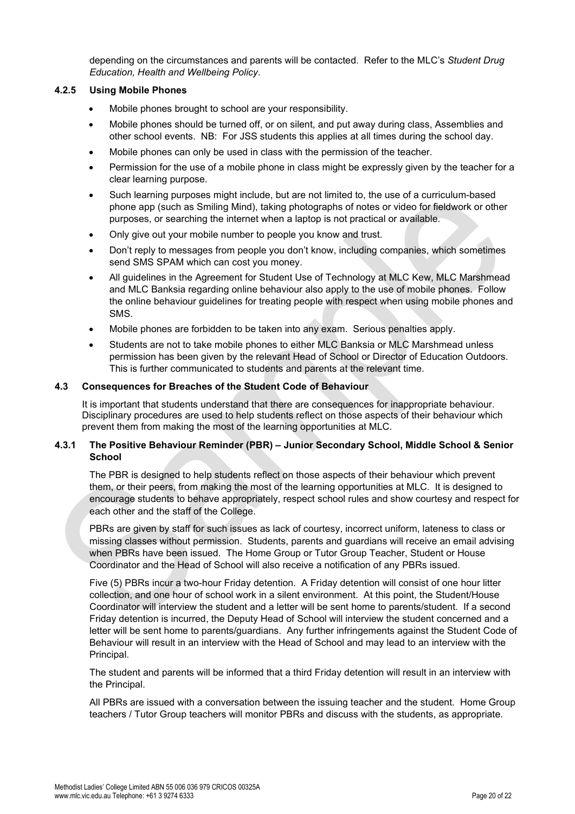depending on the circumstances and parents will be contacted. Refer to the MLC's *Student Drug Education, Health and Wellbeing Policy*.

# **4.2.5 Using Mobile Phones**

- Mobile phones brought to school are your responsibility.
- Mobile phones should be turned off, or on silent, and put away during class, Assemblies and other school events. NB: For JSS students this applies at all times during the school day.
- Mobile phones can only be used in class with the permission of the teacher.
- Permission for the use of a mobile phone in class might be expressly given by the teacher for a clear learning purpose.
- Such learning purposes might include, but are not limited to, the use of a curriculum-based phone app (such as Smiling Mind), taking photographs of notes or video for fieldwork or other purposes, or searching the internet when a laptop is not practical or available.
- Only give out your mobile number to people you know and trust.
- Don't reply to messages from people you don't know, including companies, which sometimes send SMS SPAM which can cost you money.
- All guidelines in the Agreement for Student Use of Technology at MLC Kew, MLC Marshmead and MLC Banksia regarding online behaviour also apply to the use of mobile phones. Follow the online behaviour guidelines for treating people with respect when using mobile phones and SMS.
- Mobile phones are forbidden to be taken into any exam. Serious penalties apply.
- Students are not to take mobile phones to either MLC Banksia or MLC Marshmead unless permission has been given by the relevant Head of School or Director of Education Outdoors. This is further communicated to students and parents at the relevant time.

# **4.3 Consequences for Breaches of the Student Code of Behaviour**

It is important that students understand that there are consequences for inappropriate behaviour. Disciplinary procedures are used to help students reflect on those aspects of their behaviour which prevent them from making the most of the learning opportunities at MLC.

# **4.3.1 The Positive Behaviour Reminder (PBR) – Junior Secondary School, Middle School & Senior School**

The PBR is designed to help students reflect on those aspects of their behaviour which prevent them, or their peers, from making the most of the learning opportunities at MLC. It is designed to encourage students to behave appropriately, respect school rules and show courtesy and respect for each other and the staff of the College.

PBRs are given by staff for such issues as lack of courtesy, incorrect uniform, lateness to class or missing classes without permission. Students, parents and guardians will receive an email advising when PBRs have been issued. The Home Group or Tutor Group Teacher, Student or House Coordinator and the Head of School will also receive a notification of any PBRs issued.

Five (5) PBRs incur a two-hour Friday detention. A Friday detention will consist of one hour litter collection, and one hour of school work in a silent environment. At this point, the Student/House Coordinator will interview the student and a letter will be sent home to parents/student. If a second Friday detention is incurred, the Deputy Head of School will interview the student concerned and a letter will be sent home to parents/guardians. Any further infringements against the Student Code of Behaviour will result in an interview with the Head of School and may lead to an interview with the Principal.

The student and parents will be informed that a third Friday detention will result in an interview with the Principal.

All PBRs are issued with a conversation between the issuing teacher and the student. Home Group teachers / Tutor Group teachers will monitor PBRs and discuss with the students, as appropriate.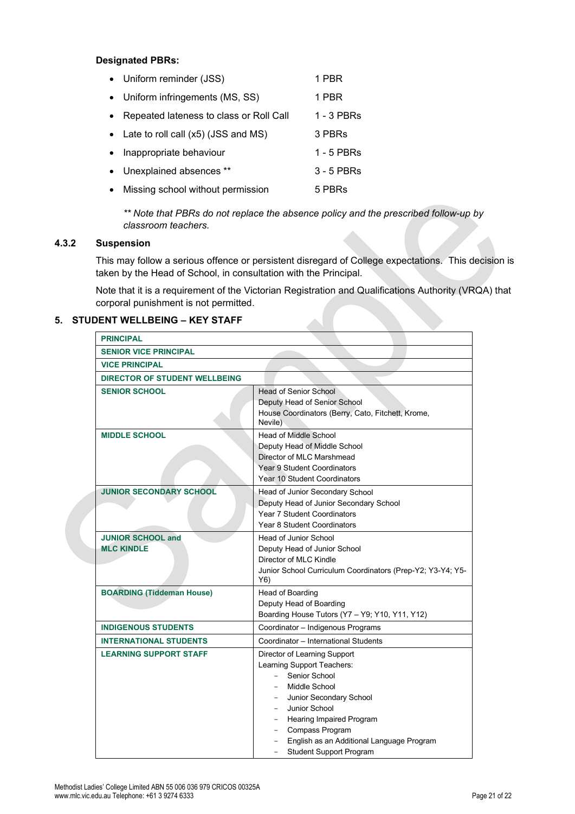#### **Designated PBRs:**

| • Uniform reminder (JSS)                | 1 PBR      |
|-----------------------------------------|------------|
| • Uniform infringements (MS, SS)        | 1 PBR      |
| Repeated lateness to class or Roll Call | 1 - 3 PBRs |
| • Late to roll call (x5) (JSS and MS)   | 3 PBRs     |
| Inappropriate behaviour                 | 1 - 5 PBRs |
| • Unexplained absences **               | 3 - 5 PBRs |
| Missing school without permission       | 5 PBRs     |
|                                         |            |

*\*\* Note that PBRs do not replace the absence policy and the prescribed follow-up by classroom teachers.*

# **4.3.2 Suspension**

This may follow a serious offence or persistent disregard of College expectations. This decision is taken by the Head of School, in consultation with the Principal.

Note that it is a requirement of the Victorian Registration and Qualifications Authority (VRQA) that corporal punishment is not permitted.

# **5. STUDENT WELLBEING – KEY STAFF**

| <b>PRINCIPAL</b>                              |                                                                                                                                                                                                                                                                                             |
|-----------------------------------------------|---------------------------------------------------------------------------------------------------------------------------------------------------------------------------------------------------------------------------------------------------------------------------------------------|
| <b>SENIOR VICE PRINCIPAL</b>                  |                                                                                                                                                                                                                                                                                             |
| <b>VICE PRINCIPAL</b>                         |                                                                                                                                                                                                                                                                                             |
| <b>DIRECTOR OF STUDENT WELLBEING</b>          |                                                                                                                                                                                                                                                                                             |
| <b>SENIOR SCHOOL</b>                          | <b>Head of Senior School</b><br>Deputy Head of Senior School<br>House Coordinators (Berry, Cato, Fitchett, Krome,<br>Nevile)                                                                                                                                                                |
| <b>MIDDLE SCHOOL</b>                          | Head of Middle School<br>Deputy Head of Middle School<br>Director of MLC Marshmead<br>Year 9 Student Coordinators<br>Year 10 Student Coordinators                                                                                                                                           |
| <b>JUNIOR SECONDARY SCHOOL</b>                | Head of Junior Secondary School<br>Deputy Head of Junior Secondary School<br>Year 7 Student Coordinators<br>Year 8 Student Coordinators                                                                                                                                                     |
| <b>JUNIOR SCHOOL and</b><br><b>MLC KINDLE</b> | Head of Junior School<br>Deputy Head of Junior School<br>Director of MLC Kindle<br>Junior School Curriculum Coordinators (Prep-Y2; Y3-Y4; Y5-<br>Y6)                                                                                                                                        |
| <b>BOARDING (Tiddeman House)</b>              | Head of Boarding<br>Deputy Head of Boarding<br>Boarding House Tutors (Y7 - Y9; Y10, Y11, Y12)                                                                                                                                                                                               |
| <b>INDIGENOUS STUDENTS</b>                    | Coordinator - Indigenous Programs                                                                                                                                                                                                                                                           |
| <b>INTERNATIONAL STUDENTS</b>                 | Coordinator - International Students                                                                                                                                                                                                                                                        |
| <b>LEARNING SUPPORT STAFF</b>                 | Director of Learning Support<br>Learning Support Teachers:<br>Senior School<br><b>Middle School</b><br>Junior Secondary School<br>Junior School<br><b>Hearing Impaired Program</b><br><b>Compass Program</b><br>English as an Additional Language Program<br><b>Student Support Program</b> |